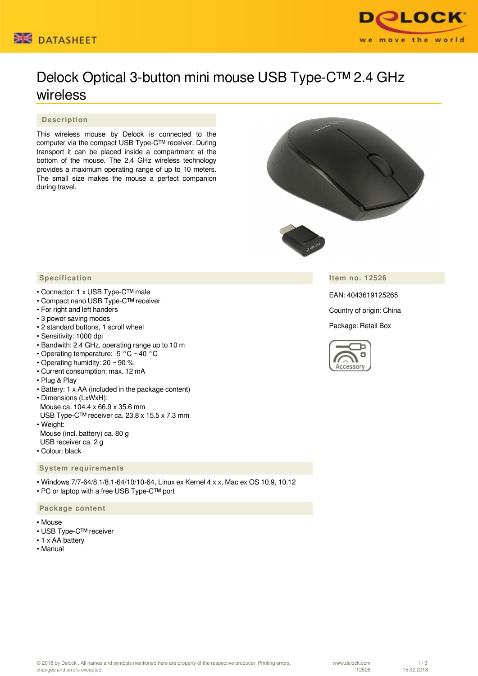



# Delock Optical 3-button mini mouse USB Type-C™ 2.4 GHz wireless

### **Description**

This wireless mouse by Delock is connected to the computer via the compact USB Type-C™ receiver. During transport it can be placed inside a compartment at the bottom of the mouse. The 2.4 GHz wireless technology provides a maximum operating range of up to 10 meters. The small size makes the mouse a perfect companion during travel.



**Item no. 12526**

EAN: 4043619125265

Country of origin: China

Package: Retail Box



#### **Specification**

- Connector: 1 x USB Type-C™ male
- Compact nano USB Type-C™ receiver
- For right and left handers
- 3 power saving modes
- 2 standard buttons, 1 scroll wheel
- Sensitivity: 1000 dpi
- Bandwith: 2.4 GHz, operating range up to 10 m
- Operating temperature: -5 °C ~ 40 °C
- Operating humidity: 20 ~ 90 %
- Current consumption: max. 12 mA
- Plug & Play
- Battery: 1 x AA (included in the package content)
- Dimensions (LxWxH): Mouse ca. 104.4 x 66.9 x 35.6 mm USB Type-C™ receiver ca. 23.8 x 15.5 x 7.3 mm • Weight:
- Mouse (incl. battery) ca. 80 g USB receiver ca. 2 g
- Colour: black

#### **System requirements**

• Windows 7/7-64/8.1/8.1-64/10/10-64, Linux ex Kernel 4.x.x, Mac ex OS 10.9, 10.12 • PC or laptop with a free USB Type-C™ port

#### **Package content**

- Mouse
- USB Type-C™ receiver
- 1 x AA battery
- Manual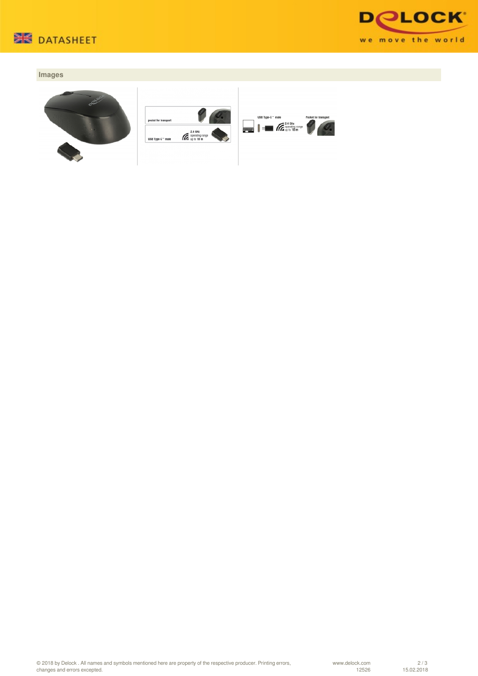



## **Images**